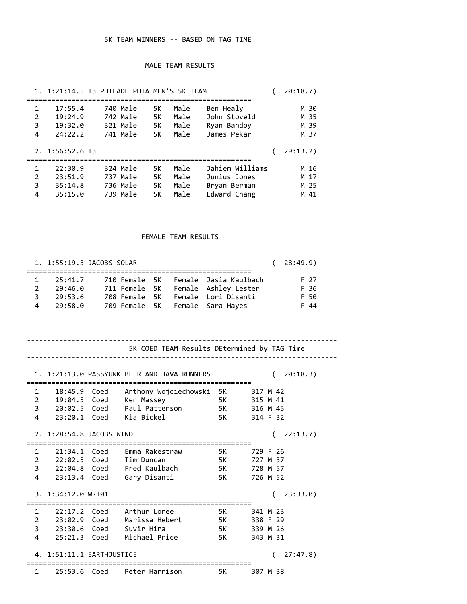## 5K TEAM WINNERS -- BASED ON TAG TIME

## MALE TEAM RESULTS

|                | 1. 1:21:14.5 T3 PHILADELPHIA MEN'S 5K TEAM |          |    |      |                 | 20:18.7  |
|----------------|--------------------------------------------|----------|----|------|-----------------|----------|
| 1              | 17:55.4                                    | 740 Male | 5K | Male | Ben Healy       | M 30     |
| $\overline{2}$ | 19:24.9                                    | 742 Male | 5K | Male | John Stoveld    | M 35     |
| 3              | 19:32.0                                    | 321 Male | 5K | Male | Ryan Bandoy     | M 39     |
| 4              | 24:22.2                                    | 741 Male | 5K | Male | James Pekar     | M 37     |
|                | 2. 1:56:52.6 T3                            |          |    |      |                 | 29:13.2) |
| 1              | 22:30.9                                    | 324 Male | 5K | Male | Jahiem Williams | M 16     |
| $\overline{2}$ | 23:51.9                                    | 737 Male | 5K | Male | Junius Jones    | M 17     |
| 3              | 35:14.8                                    | 736 Male | 5K | Male | Bryan Berman    | M 25     |
| 4              | 35:15.0                                    | 739 Male | 5K | Male | Edward Chang    | M 41     |

## FEMALE TEAM RESULTS

|   | 1. 1:55:19.3 JACOBS SOLAR |                                 |  |                                     | (28:49.9) |
|---|---------------------------|---------------------------------|--|-------------------------------------|-----------|
|   |                           |                                 |  |                                     |           |
| 1 | 25:41.7                   |                                 |  | 710 Female 5K Female Jasia Kaulbach | F 27      |
| 2 | 29:46.0                   |                                 |  | 711 Female 5K Female Ashley Lester  | F 36      |
| 3 | 29:53.6                   |                                 |  | 708 Female 5K Female Lori Disanti   | F 50      |
| 4 | 29:58.0                   | 709 Female 5K Female Sara Hayes |  |                                     | F 44      |

|              |                           | 5K COED TEAM Results DEtermined by TAG Time               |              |          |
|--------------|---------------------------|-----------------------------------------------------------|--------------|----------|
|              |                           |                                                           |              |          |
|              |                           | 1. 1:21:13.0 PASSYUNK BEER AND JAVA RUNNERS               |              | 20:18.3) |
|              |                           | 1 18:45.9 Coed Anthony Wojciechowski 5K 317 M 42          |              |          |
|              |                           | 2 19:04.5 Coed Ken Massey<br>5K 315 M 41                  |              |          |
|              |                           | 3   20:02.5   Coed   Paul Patterson   5K   316   M   45   |              |          |
|              |                           | 4 23:20.1 Coed Kia-Bickel 5K                              |              | 314 F 32 |
|              |                           |                                                           |              |          |
|              | 2. 1:28:54.8 JACOBS WIND  |                                                           |              | 22:13.7) |
|              |                           | 1 21:34.1 Coed Emma Rakestraw                             | 5K - 17      | 729 F 26 |
|              |                           | 2 22:02.5 Coed Tim Duncan<br>5K                           |              | 727 M 37 |
|              |                           | 3 22:04.8 Coed Fred Kaulbach 5K 728 M 57                  |              |          |
|              |                           |                                                           | 5K a s       | 726 M 52 |
|              |                           | 4 23:13.4 Coed Gary Disanti                               |              |          |
|              | 3. 1:34:12.0 WRT01        |                                                           |              | 23:33.0  |
|              |                           |                                                           |              |          |
|              |                           | 1   22:17.2   Coed   Arthur   Loree   5K   341   M   23   |              |          |
|              |                           | 2   23:02.9   Coed   Marissa   Hebert   5K   338   F   29 |              |          |
|              |                           | 3 23:30.6 Coed Suvir Hira                                 | 5K 9         | 339 M 26 |
|              |                           | 4 25:21.3 Coed Michael Price                              | 5K           | 343 M 31 |
|              | 4. 1:51:11.1 EARTHJUSTICE |                                                           |              | 27:47.8) |
| $\mathbf{1}$ |                           | 25:53.6 Coed  Peter Harrison                              | <b>12 5K</b> | 307 M 38 |
|              |                           |                                                           |              |          |